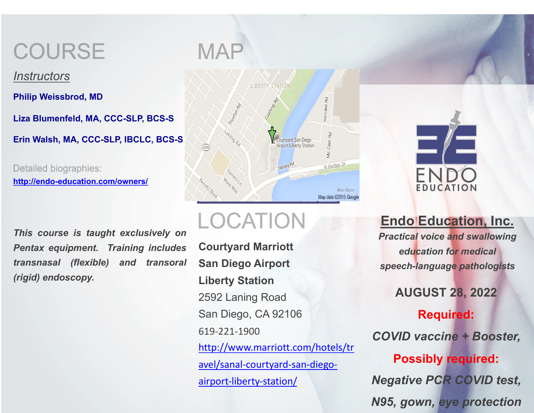### **COURSE**

*Instructors*

**Philip Weissbrod, MD**

**Liza Blumenfeld, MA, CCC-SLP, BCS-S**

**Erin Walsh, MA, CCC-SLP, IBCLC, BCS-S**

**Detailed biographies: http://endo-education.com/owners/**

*This course is taught exclusively on Pentax equipment. Training includes transnasal (flexible) and transoral (rigid) endoscopy.*



### LOCATION

**[Courtyard Marriott](http://www.marriott.com/hotels/travel/sanal-courtyard-san-diego-airport-liberty-station/)  San Diego Airport Liberty Station** 2592 Laning Road San Diego, CA 92106 619-221-1900 http://www.marriott.com/hotels/tr avel/sanal-courtyard-san-diegoairport-liberty-station/

**Endo** *Practical voice and swallowing education for medical speech-language pathologists*

**AUGUST 28, 2022**

 $COVID$ 

### Pos

**Negativ** *N95, gown, eye protection*